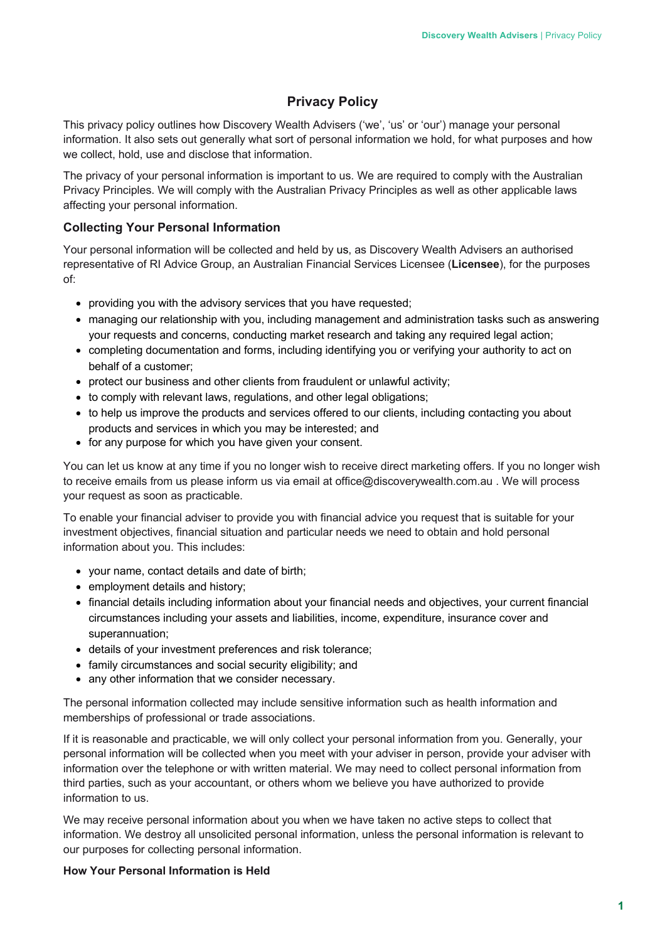# **Privacy Policy**

This privacy policy outlines how Discovery Wealth Advisers ('we', 'us' or 'our') manage your personal information. It also sets out generally what sort of personal information we hold, for what purposes and how we collect, hold, use and disclose that information.

The privacy of your personal information is important to us. We are required to comply with the Australian Privacy Principles. We will comply with the Australian Privacy Principles as well as other applicable laws affecting your personal information.

## **Collecting Your Personal Information**

Your personal information will be collected and held by us, as Discovery Wealth Advisers an authorised representative of RI Advice Group, an Australian Financial Services Licensee (**Licensee**), for the purposes of:

- providing you with the advisory services that you have requested;
- managing our relationship with you, including management and administration tasks such as answering your requests and concerns, conducting market research and taking any required legal action;
- completing documentation and forms, including identifying you or verifying your authority to act on behalf of a customer;
- protect our business and other clients from fraudulent or unlawful activity;
- to comply with relevant laws, regulations, and other legal obligations;
- to help us improve the products and services offered to our clients, including contacting you about products and services in which you may be interested; and
- for any purpose for which you have given your consent.

You can let us know at any time if you no longer wish to receive direct marketing offers. If you no longer wish to receive emails from us please inform us via email at office@discoverywealth.com.au . We will process your request as soon as practicable.

To enable your financial adviser to provide you with financial advice you request that is suitable for your investment objectives, financial situation and particular needs we need to obtain and hold personal information about you. This includes:

- your name, contact details and date of birth;
- employment details and history;
- financial details including information about your financial needs and objectives, your current financial circumstances including your assets and liabilities, income, expenditure, insurance cover and superannuation;
- details of your investment preferences and risk tolerance;
- family circumstances and social security eligibility; and
- any other information that we consider necessary.

The personal information collected may include sensitive information such as health information and memberships of professional or trade associations.

If it is reasonable and practicable, we will only collect your personal information from you. Generally, your personal information will be collected when you meet with your adviser in person, provide your adviser with information over the telephone or with written material. We may need to collect personal information from third parties, such as your accountant, or others whom we believe you have authorized to provide information to us.

We may receive personal information about you when we have taken no active steps to collect that information. We destroy all unsolicited personal information, unless the personal information is relevant to our purposes for collecting personal information.

## **How Your Personal Information is Held**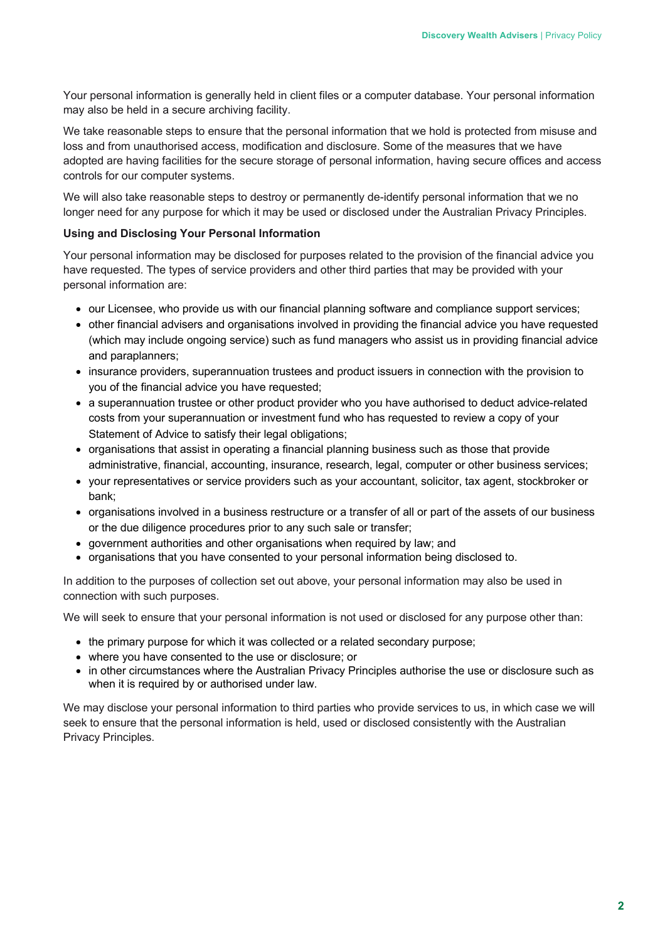Your personal information is generally held in client files or a computer database. Your personal information may also be held in a secure archiving facility.

We take reasonable steps to ensure that the personal information that we hold is protected from misuse and loss and from unauthorised access, modification and disclosure. Some of the measures that we have adopted are having facilities for the secure storage of personal information, having secure offices and access controls for our computer systems.

We will also take reasonable steps to destroy or permanently de-identify personal information that we no longer need for any purpose for which it may be used or disclosed under the Australian Privacy Principles.

#### **Using and Disclosing Your Personal Information**

Your personal information may be disclosed for purposes related to the provision of the financial advice you have requested. The types of service providers and other third parties that may be provided with your personal information are:

- our Licensee, who provide us with our financial planning software and compliance support services;
- other financial advisers and organisations involved in providing the financial advice you have requested (which may include ongoing service) such as fund managers who assist us in providing financial advice and paraplanners;
- insurance providers, superannuation trustees and product issuers in connection with the provision to you of the financial advice you have requested;
- a superannuation trustee or other product provider who you have authorised to deduct advice-related costs from your superannuation or investment fund who has requested to review a copy of your Statement of Advice to satisfy their legal obligations;
- organisations that assist in operating a financial planning business such as those that provide administrative, financial, accounting, insurance, research, legal, computer or other business services;
- your representatives or service providers such as your accountant, solicitor, tax agent, stockbroker or bank;
- organisations involved in a business restructure or a transfer of all or part of the assets of our business or the due diligence procedures prior to any such sale or transfer;
- government authorities and other organisations when required by law; and
- organisations that you have consented to your personal information being disclosed to.

In addition to the purposes of collection set out above, your personal information may also be used in connection with such purposes.

We will seek to ensure that your personal information is not used or disclosed for any purpose other than:

- the primary purpose for which it was collected or a related secondary purpose;
- where you have consented to the use or disclosure; or
- in other circumstances where the Australian Privacy Principles authorise the use or disclosure such as when it is required by or authorised under law.

We may disclose your personal information to third parties who provide services to us, in which case we will seek to ensure that the personal information is held, used or disclosed consistently with the Australian Privacy Principles.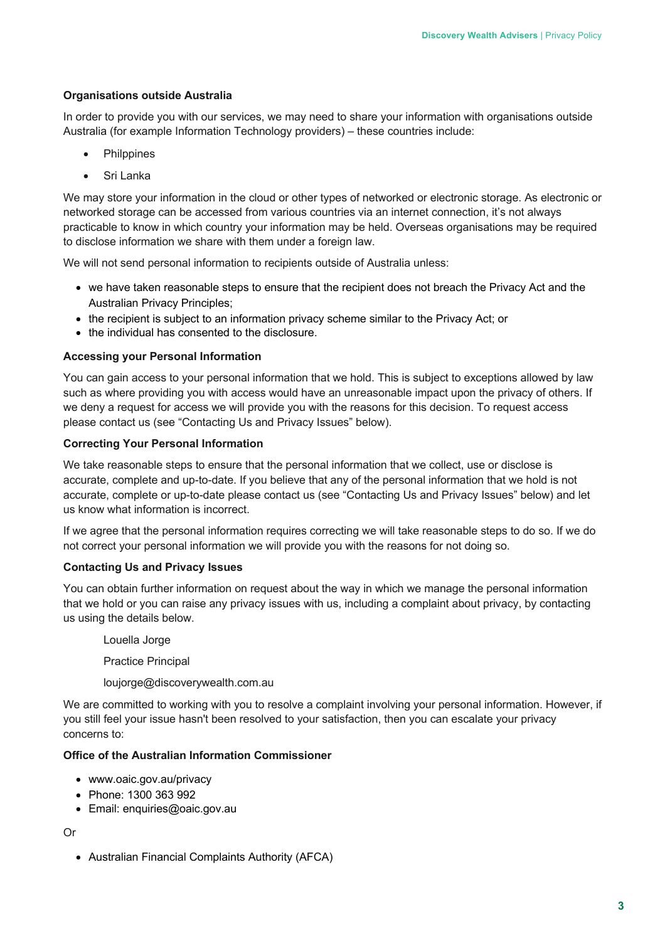#### **Organisations outside Australia**

In order to provide you with our services, we may need to share your information with organisations outside Australia (for example Information Technology providers) – these countries include:

- **Philppines**
- Sri Lanka

We may store your information in the cloud or other types of networked or electronic storage. As electronic or networked storage can be accessed from various countries via an internet connection, it's not always practicable to know in which country your information may be held. Overseas organisations may be required to disclose information we share with them under a foreign law.

We will not send personal information to recipients outside of Australia unless:

- we have taken reasonable steps to ensure that the recipient does not breach the Privacy Act and the Australian Privacy Principles;
- the recipient is subject to an information privacy scheme similar to the Privacy Act; or
- the individual has consented to the disclosure.

#### **Accessing your Personal Information**

You can gain access to your personal information that we hold. This is subject to exceptions allowed by law such as where providing you with access would have an unreasonable impact upon the privacy of others. If we deny a request for access we will provide you with the reasons for this decision. To request access please contact us (see "Contacting Us and Privacy Issues" below).

#### **Correcting Your Personal Information**

We take reasonable steps to ensure that the personal information that we collect, use or disclose is accurate, complete and up-to-date. If you believe that any of the personal information that we hold is not accurate, complete or up-to-date please contact us (see "Contacting Us and Privacy Issues" below) and let us know what information is incorrect.

If we agree that the personal information requires correcting we will take reasonable steps to do so. If we do not correct your personal information we will provide you with the reasons for not doing so.

#### **Contacting Us and Privacy Issues**

You can obtain further information on request about the way in which we manage the personal information that we hold or you can raise any privacy issues with us, including a complaint about privacy, by contacting us using the details below.

Louella Jorge

Practice Principal

loujorge@discoverywealth.com.au

We are committed to working with you to resolve a complaint involving your personal information. However, if you still feel your issue hasn't been resolved to your satisfaction, then you can escalate your privacy concerns to:

### **Office of the Australian Information Commissioner**

- www.oaic.gov.au/privacy
- Phone: 1300 363 992
- Email: enquiries@oaic.gov.au

#### Or

• Australian Financial Complaints Authority (AFCA)